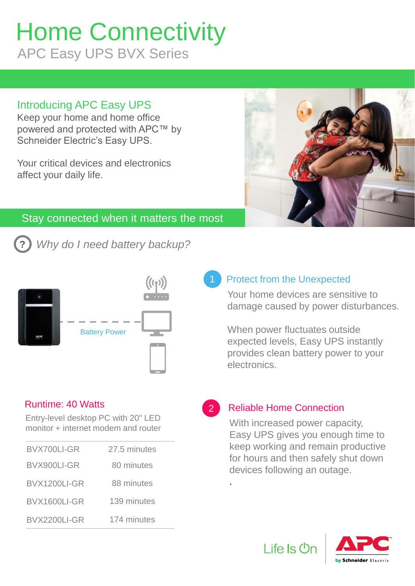# Home Connectivity APC Easy UPS BVX Series

# Introducing APC Easy UPS

Keep your home and home office powered and protected with APC™ by Schneider Electric's Easy UPS.

Your critical devices and electronics affect your daily life.



## Stay connected when it matters the most

**?** *Why do I need battery backup?* 



### Runtime: 40 Watts

Entry-level desktop PC with 20" LED monitor + internet modem and router

| BVX700LI-GR  | 27.5 minutes |  |  |
|--------------|--------------|--|--|
| BVX900LI-GR  | 80 minutes   |  |  |
| BVX1200LI-GR | 88 minutes   |  |  |
| BVX1600LI-GR | 139 minutes  |  |  |
| BVX2200LI-GR | 174 minutes  |  |  |
|              |              |  |  |

## Protect from the Unexpected

Your home devices are sensitive to damage caused by power disturbances.

When power fluctuates outside expected levels, Easy UPS instantly provides clean battery power to your electronics.

## Reliable Home Connection

.

2

With increased power capacity, Easy UPS gives you enough time to keep working and remain productive for hours and then safely shut down devices following an outage.



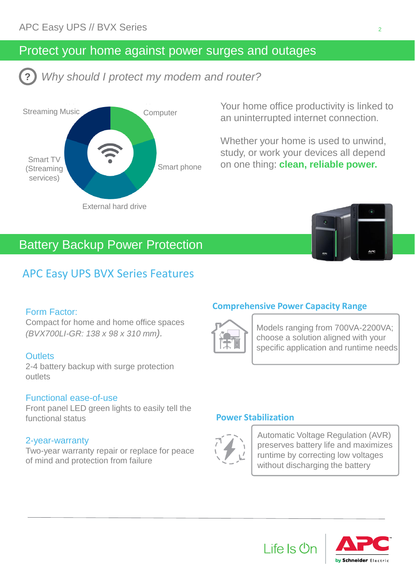## Protect your home against power surges and outages

**?** *Why should I protect my modem and router?* 



Your home office productivity is linked to an uninterrupted internet connection.

Whether your home is used to unwind, study, or work your devices all depend on one thing: **clean, reliable power.** 

# Battery Backup Power Protection

## APC Easy UPS BVX Series Features

#### Form Factor:

Compact for home and home office spaces *(BVX700LI-GR: 138 x 98 x 310 mm).*

#### **Outlets**

2-4 battery backup with surge protection outlets

#### Functional ease-of-use

Front panel LED green lights to easily tell the functional status

#### 2-year-warranty

Two-year warranty repair or replace for peace of mind and protection from failure

#### **Comprehensive Power Capacity Range**

Life Is U



Models ranging from 700VA-2200VA; choose a solution aligned with your specific application and runtime needs

#### **Power Stabilization**



Automatic Voltage Regulation (AVR) preserves battery life and maximizes runtime by correcting low voltages without discharging the battery